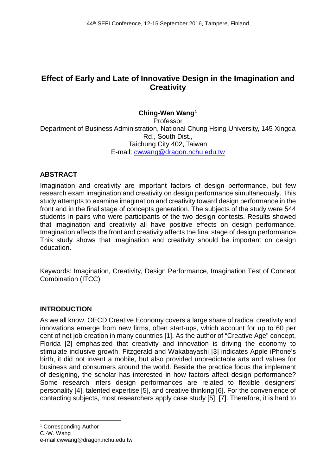# **Effect of Early and Late of Innovative Design in the Imagination and Creativity**

# **Ching-Wen Wang[1](#page-0-0)**

Professor Department of Business Administration, National Chung Hsing University, 145 Xingda Rd., South Dist., Taichung City 402, Taiwan E-mail: cwwang@dragon.nchu.edu.tw

## **ABSTRACT**

Imagination and creativity are important factors of design performance, but few research exam imagination and creativity on design performance simultaneously. This study attempts to examine imagination and creativity toward design performance in the front and in the final stage of concepts generation. The subjects of the study were 544 students in pairs who were participants of the two design contests. Results showed that imagination and creativity all have positive effects on design performance. Imagination affects the front and creativity affects the final stage of design performance. This study shows that imagination and creativity should be important on design education.

Keywords: Imagination, Creativity, Design Performance, Imagination Test of Concept Combination (ITCC)

#### **INTRODUCTION**

As we all know, OECD Creative Economy covers a large share of radical creativity and innovations emerge from new firms, often start-ups, which account for up to 60 per cent of net job creation in many countries [1]. As the author of "Creative Age" concept, Florida [2] emphasized that creativity and innovation is driving the economy to stimulate inclusive growth. Fitzgerald and Wakabayashi [3] indicates Apple iPhone's birth, it did not invent a mobile, but also provided unpredictable arts and values for business and consumers around the world. Beside the practice focus the implement of designing, the scholar has interested in how factors affect design performance? Some research infers design performances are related to flexible designers' personality [4], talented expertise [5], and creative thinking [6]. For the convenience of contacting subjects, most researchers apply case study [5], [7]. Therefore, it is hard to

<span id="page-0-0"></span><sup>1</sup> Corresponding Author

-

C.-W. Wang

e-mail:cwwang@dragon.nchu.edu.tw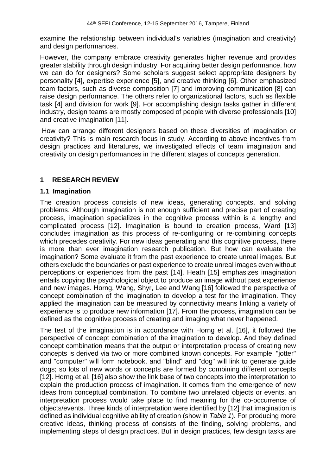examine the relationship between individual's variables (imagination and creativity) and design performances.

However, the company embrace creativity generates higher revenue and provides greater stability through design industry. For acquiring better design performance, how we can do for designers? Some scholars suggest select appropriate designers by personality [4], expertise experience [5], and creative thinking [6]. Other emphasized team factors, such as diverse composition [7] and improving communication [8] can raise design performance. The others refer to organizational factors, such as flexible task [4] and division for work [9]. For accomplishing design tasks gather in different industry, design teams are mostly composed of people with diverse professionals [10] and creative imagination [11].

How can arrange different designers based on these diversities of imagination or creativity? This is main research focus in study. According to above incentives from design practices and literatures, we investigated effects of team imagination and creativity on design performances in the different stages of concepts generation.

## **1 RESEARCH REVIEW**

#### **1.1 Imagination**

The creation process consists of new ideas, generating concepts, and solving problems. Although imagination is not enough sufficient and precise part of creating process, imagination specializes in the cognitive process within is a lengthy and complicated process [12]. Imagination is bound to creation process, Ward [13] concludes imagination as this process of re-configuring or re-combining concepts which precedes creativity. For new ideas generating and this cognitive process, there is more than ever imagination research publication. But how can evaluate the imagination? Some evaluate it from the past experience to create unreal images. But others exclude the boundaries or past experience to create unreal images even without perceptions or experiences from the past [14]. Heath [15] emphasizes imagination entails copying the psychological object to produce an image without past experience and new images. Horng, Wang, Shyr, Lee and Wang [16] followed the perspective of concept combination of the imagination to develop a test for the imagination. They applied the imagination can be measured by connectivity means linking a variety of experience is to produce new information [17]. From the process, imagination can be defined as the cognitive process of creating and imaging what never happened.

The test of the imagination is in accordance with Horng et al. [16], it followed the perspective of concept combination of the imagination to develop. And they defined concept combination means that the output or interpretation process of creating new concepts is derived via two or more combined known concepts. For example, "jotter" and "computer" will form notebook, and "blind" and "dog" will link to generate guide dogs; so lots of new words or concepts are formed by combining different concepts [12]. Horng et al. [16] also show the link base of two concepts into the interpretation to explain the production process of imagination. It comes from the emergence of new ideas from conceptual combination. To combine two unrelated objects or events, an interpretation process would take place to find meaning for the co-occurrence of objects/events. Three kinds of interpretation were identified by [12] that imagination is defined as individual cognitive ability of creation (show in *Table 1*). For producing more creative ideas, thinking process of consists of the finding, solving problems, and implementing steps of design practices. But in design practices, few design tasks are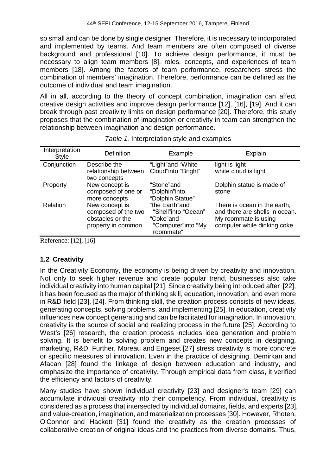so small and can be done by single designer. Therefore, it is necessary to incorporated and implemented by teams. And team members are often composed of diverse background and professional [10]. To achieve design performance, it must be necessary to align team members [8], roles, concepts, and experiences of team members [18]. Among the factors of team performance, researchers stress the combination of members' imagination. Therefore, performance can be defined as the outcome of individual and team imagination.

All in all, according to the theory of concept combination, imagination can affect creative design activities and improve design performance [12], [16], [19]. And it can break through past creativity limits on design performance [20]. Therefore, this study proposes that the combination of imagination or creativity in team can strengthen the relationship between imagination and design performance.

| Interpretation<br>Style | <b>Definition</b>                                                               | Example                                                                               | Explain                                                                                                               |
|-------------------------|---------------------------------------------------------------------------------|---------------------------------------------------------------------------------------|-----------------------------------------------------------------------------------------------------------------------|
| Conjunction             | Describe the<br>relationship between<br>two concepts                            | "Light"and "White<br>Cloud"into "Bright"                                              | light is light<br>white cloud is light                                                                                |
| Property                | New concept is<br>composed of one or<br>more concepts                           | "Stone"and<br>"Dolphin"into<br>"Dolphin Statue"                                       | Dolphin statue is made of<br>stone                                                                                    |
| Relation                | New concept is<br>composed of the two<br>obstacles or the<br>property in common | "the Earth"and<br>"Shell"into "Ocean"<br>"Coke"and<br>"Computer"into "My<br>roommate" | There is ocean in the earth,<br>and there are shells in ocean.<br>My roommate is using<br>computer while dinking coke |

| Table 1. Interpretation style and examples |  |
|--------------------------------------------|--|
|                                            |  |

Reference: [12], [16]

## **1.2 Creativity**

In the Creativity Economy, the economy is being driven by creativity and innovation. Not only to seek higher revenue and create popular trend, businesses also take individual creativity into human capital [21]. Since creativity being introduced after [22], it has been focused as the major of thinking skill, education, innovation, and even more in R&D field [23], [24]. From thinking skill, the creation process consists of new ideas, generating concepts, solving problems, and implementing [25]. In education, creativity influences new concept generating and can be facilitated for imagination. In innovation, creativity is the source of social and realizing process in the future [25]. According to West's [26] research, the creation process includes idea generation and problem solving. It is benefit to solving problem and creates new concepts in designing, marketing, R&D. Further, [Moreau](https://scholar.google.com.tw/citations?user=smm4IekAAAAJ&hl=zh-TW&oi=sra) and [Engeset](https://scholar.google.com.tw/citations?user=BQ9CqrQAAAAJ&hl=zh-TW&oi=sra) [27] stress creativity is more concrete or specific measures of innovation. Even in the practice of designing, Demirkan and Afacan [28] found the linkage of design between education and industry, and emphasize the importance of creativity. Through empirical data from class, it verified the efficiency and factors of creativity.

Many studies have shown individual creativity [23] and designer's team [29] can accumulate individual creativity into their competency. From individual, creativity is considered as a process that intersected by individual domains, fields, and experts [23], and value-creation, imagination, and materialization processes [30]. However, [Rhoten,](http://the.sagepub.com/search?author1=Diana+Rhoten&sortspec=date&submit=Submit) [O'Connor](http://the.sagepub.com/search?author1=Erin+O%27Connor&sortspec=date&submit=Submit) and [Hackett](http://the.sagepub.com/search?author1=Edward+J.+Hackett&sortspec=date&submit=Submit) [31] found the creativity as the creation processes of collaborative creation of original ideas and the practices from diverse domains. Thus,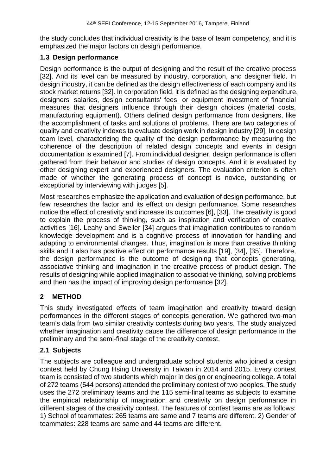the study concludes that individual creativity is the base of team competency, and it is emphasized the major factors on design performance.

#### **1.3 Design performance**

Design performance is the output of designing and the result of the creative process [32]. And its level can be measured by industry, corporation, and designer field. In design industry, it can be defined as the design effectiveness of each company and its stock market returns [32]. In corporation field, it is defined as the designing expenditure, designers' salaries, design consultants' fees, or equipment investment of financial measures that designers influence through their design choices (material costs, manufacturing equipment). Others defined design performance from designers, like the accomplishment of tasks and solutions of problems. There are two categories of quality and creativity indexes to evaluate design work in design industry [29]. In design team level, characterizing the quality of the design performance by measuring the coherence of the description of related design concepts and events in design documentation is examined [7]. From individual designer, design performance is often gathered from their behavior and studies of design concepts. And it is evaluated by other designing expert and experienced designers. The evaluation criterion is often made of whether the generating process of concept is novice, outstanding or exceptional by interviewing with judges [5].

Most researches emphasize the application and evaluation of design performance, but few researches the factor and its effect on design performance. Some researches notice the effect of creativity and increase its outcomes [6], [33]. The creativity is good to explain the process of thinking, such as inspiration and verification of creative activities [16]. Leahy and Sweller [34] argues that imagination contributes to random knowledge development and is a cognitive process of innovation for handling and adapting to environmental changes. Thus, imagination is more than creative thinking skills and it also has positive effect on performance results [19], [34], [35]. Therefore, the design performance is the outcome of designing that concepts generating, associative thinking and imagination in the creative process of product design. The results of designing while applied imagination to associative thinking, solving problems and then has the impact of improving design performance [32].

# **2 METHOD**

This study investigated effects of team imagination and creativity toward design performances in the different stages of concepts generation. We gathered two-man team's data from two similar creativity contests during two years. The study analyzed whether imagination and creativity cause the difference of design performance in the preliminary and the semi-final stage of the creativity contest.

## **2.1 Subjects**

The subjects are colleague and undergraduate school students who joined a design contest held by Chung Hsing University in Taiwan in 2014 and 2015. Every contest team is consisted of two students which major in design or engineering college. A total of 272 teams (544 persons) attended the preliminary contest of two peoples. The study uses the 272 preliminary teams and the 115 semi-final teams as subjects to examine the empirical relationship of imagination and creativity on design performance in different stages of the creativity contest. The features of contest teams are as follows: 1) School of teammates: 265 teams are same and 7 teams are different. 2) Gender of teammates: 228 teams are same and 44 teams are different.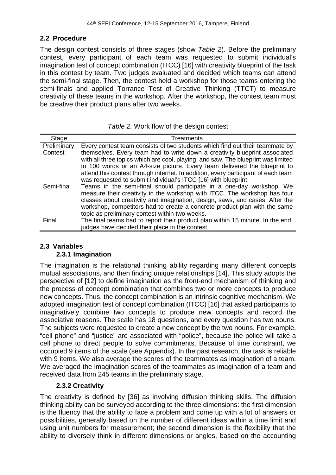#### **2.2 Procedure**

The design contest consists of three stages (show *Table 2*). Before the preliminary contest, every participant of each team was requested to submit individual's imagination test of concept combination (ITCC) [16] with creativity blueprint of the task in this contest by team. Two judges evaluated and decided which teams can attend the semi-final stage. Then, the contest held a workshop for those teams entering the semi-finals and applied Torrance Test of Creative Thinking (TTCT) to measure creativity of these teams in the workshop. After the workshop, the contest team must be creative their product plans after two weeks.

| Table 2. Work flow of the design contest |  |  |  |  |  |  |
|------------------------------------------|--|--|--|--|--|--|
|------------------------------------------|--|--|--|--|--|--|

| Stage       | <b>Treatments</b>                                                                                                                                                                                                                                                                                                                                                                                   |
|-------------|-----------------------------------------------------------------------------------------------------------------------------------------------------------------------------------------------------------------------------------------------------------------------------------------------------------------------------------------------------------------------------------------------------|
| Preliminary | Every contest team consists of two students which find out their teammate by                                                                                                                                                                                                                                                                                                                        |
| Contest     | themselves. Every team had to write down a creativity blueprint associated<br>with all three topics which are cool, playing, and saw. The blueprint was limited<br>to 100 words or an A4-size picture. Every team delivered the blueprint to<br>attend this contest through internet. In addition, every participant of each team<br>was requested to submit individual's ITCC [16] with blueprint. |
| Semi-final  | Teams in the semi-final should participate in a one-day workshop. We<br>measure their creativity in the workshop with ITCC. The workshop has four<br>classes about creativity and imagination, design, saws, and cases. After the<br>workshop, competitors had to create a concrete product plan with the same<br>topic as preliminary contest within two weeks.                                    |
| Final       | The final teams had to report their product plan within 15 minute. In the end,<br>judges have decided their place in the contest.                                                                                                                                                                                                                                                                   |

#### **2.3 Variables 2.3.1 Imagination**

The imagination is the relational thinking ability regarding many different concepts mutual associations, and then finding unique relationships [14]. This study adopts the perspective of [12] to define imagination as the front-end mechanism of thinking and the process of concept combination that combines two or more concepts to produce new concepts. Thus, the concept combination is an intrinsic cognitive mechanism. We adopted imagination test of concept combination (ITCC) [16] that asked participants to imaginatively combine two concepts to produce new concepts and record the associative reasons. The scale has 18 questions, and every question has two nouns. The subjects were requested to create a new concept by the two nouns. For example, "cell phone" and "justice" are associated with "police", because the police will take a cell phone to direct people to solve commitments. Because of time constraint, we occupied 9 items of the scale (see Appendix). In the past research, the task is reliable with 9 items. We also average the scores of the teammates as imagination of a team. We averaged the imagination scores of the teammates as imagination of a team and received data from 245 teams in the preliminary stage.

#### **2.3.2 Creativity**

The creativity is defined by [36] as involving diffusion thinking skills. The diffusion thinking ability can be surveyed according to the three dimensions: the first dimension is the fluency that the ability to face a problem and come up with a lot of answers or possibilities, generally based on the number of different ideas within a time limit and using unit numbers for measurement; the second dimension is the flexibility that the ability to diversely think in different dimensions or angles, based on the accounting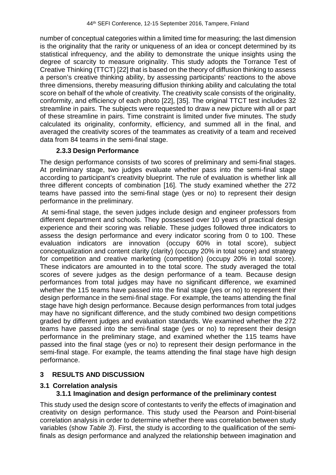number of conceptual categories within a limited time for measuring; the last dimension is the originality that the rarity or uniqueness of an idea or concept determined by its statistical infrequency, and the ability to demonstrate the unique insights using the degree of scarcity to measure originality. This study adopts the Torrance Test of Creative Thinking (TTCT) [22] that is based on the theory of diffusion thinking to assess a person's creative thinking ability, by assessing participants' reactions to the above three dimensions, thereby measuring diffusion thinking ability and calculating the total score on behalf of the whole of creativity. The creativity scale consists of the originality, conformity, and efficiency of each photo [22], [35]. The original TTCT test includes 32 streamline in pairs. The subjects were requested to draw a new picture with all or part of these streamline in pairs. Time constraint is limited under five minutes. The study calculated its originality, conformity, efficiency, and summed all in the final, and averaged the creativity scores of the teammates as creativity of a team and received data from 84 teams in the semi-final stage.

## **2.3.3 Design Performance**

The design performance consists of two scores of preliminary and semi-final stages. At preliminary stage, two judges evaluate whether pass into the semi-final stage according to participant's creativity blueprint. The rule of evaluation is whether link all three different concepts of combination [16]. The study examined whether the 272 teams have passed into the semi-final stage (yes or no) to represent their design performance in the preliminary.

At semi-final stage, the seven judges include design and engineer professors from different department and schools. They possessed over 10 years of practical design experience and their scoring was reliable. These judges followed three indicators to assess the design performance and every indicator scoring from 0 to 100. These evaluation indicators are innovation (occupy 60% in total score), subject conceptualization and content clarity (clarity) (occupy 20% in total score) and strategy for competition and creative marketing (competition) (occupy 20% in total score). These indicators are amounted in to the total score. The study averaged the total scores of severe judges as the design performance of a team. Because design performances from total judges may have no significant difference, we examined whether the 115 teams have passed into the final stage (yes or no) to represent their design performance in the semi-final stage. For example, the teams attending the final stage have high design performance. Because design performances from total judges may have no significant difference, and the study combined two design competitions graded by different judges and evaluation standards. We examined whether the 272 teams have passed into the semi-final stage (yes or no) to represent their design performance in the preliminary stage, and examined whether the 115 teams have passed into the final stage (yes or no) to represent their design performance in the semi-final stage. For example, the teams attending the final stage have high design performance.

# **3 RESULTS AND DISCUSSION**

## **3.1 Correlation analysis**

# **3.1.1 Imagination and design performance of the preliminary contest**

This study used the design score of contestants to verify the effects of imagination and creativity on design performance. This study used the Pearson and Point-biserial correlation analysis in order to determine whether there was correlation between study variables (show *Table 3*). First, the study is according to the qualification of the semifinals as design performance and analyzed the relationship between imagination and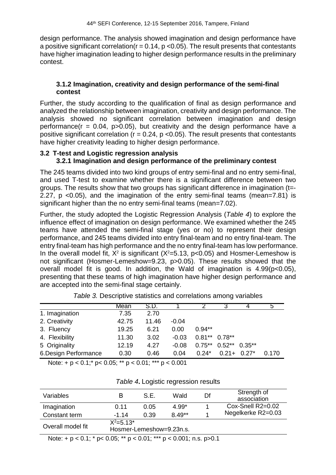design performance. The analysis showed imagination and design performance have a positive significant correlation( $r = 0.14$ ,  $p \le 0.05$ ). The result presents that contestants have higher imagination leading to higher design performance results in the preliminary contest.

#### **3.1.2 Imagination, creativity and design performance of the semi-final contest**

Further, the study according to the qualification of final as design performance and analyzed the relationship between imagination, creativity and design performance. The analysis showed no significant correlation between imagination and design performance( $r = 0.04$ ,  $p > 0.05$ ), but creativity and the design performance have a positive significant correlation ( $r = 0.24$ ,  $p < 0.05$ ). The result presents that contestants have higher creativity leading to higher design performance.

## **3.2 T-test and Logistic regression analysis 3.2.1 Imagination and design performance of the preliminary contest**

The 245 teams divided into two kind groups of entry semi-final and no entry semi-final, and used T-test to examine whether there is a significant difference between two groups. The results show that two groups has significant difference in imagination (t=- 2.27, p <0.05), and the imagination of the entry semi-final teams (mean=7.81) is significant higher than the no entry semi-final teams (mean=7.02).

Further, the study adopted the Logistic Regression Analysis (*Table 4*) to explore the influence effect of imagination on design performance. We examined whether the 245 teams have attended the semi-final stage (yes or no) to represent their design performance, and 245 teams divided into entry final-team and no entry final-team. The entry final-team has high performance and the no entry final-team has low performance. In the overall model fit,  $X^2$  is significant ( $X^2 = 5.13$ ,  $p < 0.05$ ) and Hosmer-Lemeshow is not significant (Hosmer-Lemeshow=9.23, p>0.05). These results showed that the overall model fit is good. In addition, the Wald of imagination is  $4.99(p<0.05)$ , presenting that these teams of high imagination have higher design performance and are accepted into the semi-final stage certainly.

|                       | Mean  | S.D.  |         |          |                            |         | b     |
|-----------------------|-------|-------|---------|----------|----------------------------|---------|-------|
| 1. Imagination        | 7.35  | 2.70  |         |          |                            |         |       |
| 2. Creativity         | 42.75 | 11.46 | $-0.04$ |          |                            |         |       |
| 3. Fluency            | 19.25 | 6.21  | 0.00    | $0.94**$ |                            |         |       |
| 4. Flexibility        | 11.30 | 3.02  | $-0.03$ |          | $0.81***$ 0.78**           |         |       |
| 5 Originality         | 12.19 | 4.27  | $-0.08$ |          | $0.75**$ $0.52**$ $0.35**$ |         |       |
| 6. Design Performance | 0.30  | 0.46  | 0.04    | $0.24*$  | $0.21 +$                   | $0.27*$ | 0.170 |

| Table 3. Descriptive statistics and correlations among variables |  |  |
|------------------------------------------------------------------|--|--|
|------------------------------------------------------------------|--|--|

Note:  $+p < 0.1$ ;  $p < 0.05$ ;  $p * p < 0.01$ ;  $p * p < 0.001$ 

| Variables         | в                                          | S.E. | Wald     | Df | Strength of<br>association |
|-------------------|--------------------------------------------|------|----------|----|----------------------------|
| Imagination       | 0.11                                       | 0.05 | $4.99*$  |    | $Cox-Snell R2=0.02$        |
| Constant term     | $-1.14$                                    | 0.39 | $8.49**$ | л  | Negelkerke R2=0.03         |
| Overall model fit | $X^2 = 5.13^*$<br>Hosmer-Lemeshow=9.23n.s. |      |          |    |                            |

#### *Table 4***.** Logistic regression results

Note: +  $p$  < 0.1; \*  $p$  < 0.05; \*\*  $p$  < 0.01; \*\*\*  $p$  < 0.001; n.s.  $p$  > 0.1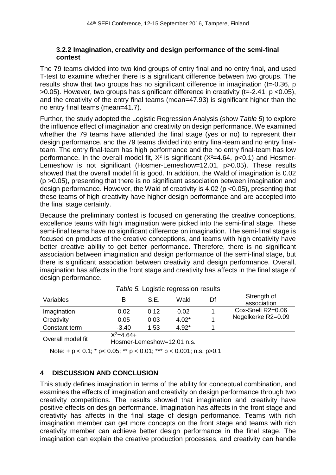#### **3.2.2 Imagination, creativity and design performance of the semi-final contest**

The 79 teams divided into two kind groups of entry final and no entry final, and used T-test to examine whether there is a significant difference between two groups. The results show that two groups has no significant difference in imagination (t=-0.36, p  $>0.05$ ). However, two groups has significant difference in creativity (t=-2.41, p <0.05), and the creativity of the entry final teams (mean=47.93) is significant higher than the no entry final teams (mean=41.7).

Further, the study adopted the Logistic Regression Analysis (show *Table 5*) to explore the influence effect of imagination and creativity on design performance. We examined whether the 79 teams have attended the final stage (yes or no) to represent their design performance, and the 79 teams divided into entry final-team and no entry finalteam. The entry final-team has high performance and the no entry final-team has low performance. In the overall model fit,  $X^2$  is significant ( $X^2$ =4.64, p<0.1) and Hosmer-Lemeshow is not significant (Hosmer-Lemeshow=12.01, p>0.05). These results showed that the overall model fit is good. In addition, the Wald of imagination is 0.02 (p >0.05), presenting that there is no significant association between imagination and design performance. However, the Wald of creativity is 4.02 (p <0.05), presenting that these teams of high creativity have higher design performance and are accepted into the final stage certainly.

Because the preliminary contest is focused on generating the creative conceptions, excellence teams with high imagination were picked into the semi-final stage. These semi-final teams have no significant difference on imagination. The semi-final stage is focused on products of the creative conceptions, and teams with high creativity have better creative ability to get better performance. Therefore, there is no significant association between imagination and design performance of the semi-final stage, but there is significant association between creativity and design performance. Overall, imagination has affects in the front stage and creativity has affects in the final stage of design performance.

| <i>lable 5.</i> Logistic regression results                       |         |      |         |    |                            |
|-------------------------------------------------------------------|---------|------|---------|----|----------------------------|
| Variables                                                         | в       | S.E. | Wald    | Df | Strength of<br>association |
| Imagination                                                       | 0.02    | 0.12 | 0.02    |    | Cox-Snell R2=0.06          |
| Creativity                                                        | 0.05    | 0.03 | $4.02*$ |    | Negelkerke R2=0.09         |
| Constant term                                                     | $-3.40$ | 1.53 | $4.92*$ |    |                            |
| $X^2 = 4.64 +$<br>Overall model fit<br>Hosmer-Lemeshow=12.01 n.s. |         |      |         |    |                            |
| N                                                                 |         |      |         |    |                            |

*Table 5.* Logistic regression results

Note: +  $p$  < 0.1;  $*$   $p$  < 0.05;  $**$   $p$  < 0.01;  $**$   $p$  < 0.001; n.s.  $p$  > 0.1

## **4 DISCUSSION AND CONCLUSION**

This study defines imagination in terms of the ability for conceptual combination, and examines the effects of imagination and creativity on design performance through two creativity competitions. The results showed that imagination and creativity have positive effects on design performance. Imagination has affects in the front stage and creativity has affects in the final stage of design performance. Teams with rich imagination member can get more concepts on the front stage and teams with rich creativity member can achieve better design performance in the final stage. The imagination can explain the creative production processes, and creativity can handle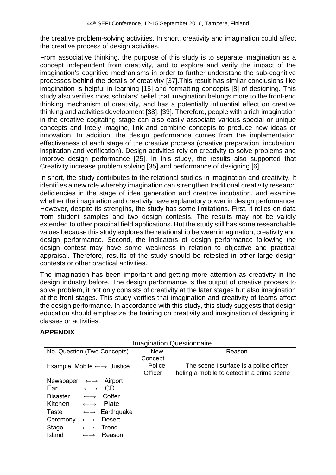the creative problem-solving activities. In short, creativity and imagination could affect the creative process of design activities.

From associative thinking, the purpose of this study is to separate imagination as a concept independent from creativity, and to explore and verify the impact of the imagination's cognitive mechanisms in order to further understand the sub-cognitive processes behind the details of creativity [37].This result has similar conclusions like imagination is helpful in learning [15] and formatting concepts [8] of designing. This study also verifies most scholars' belief that imagination belongs more to the front-end thinking mechanism of creativity, and has a potentially influential effect on creative thinking and activities development [38], [39]. Therefore, people with a rich imagination in the creative cogitating stage can also easily associate various special or unique concepts and freely imagine, link and combine concepts to produce new ideas or innovation. In addition, the design performance comes from the implementation effectiveness of each stage of the creative process (creative preparation, incubation, inspiration and verification). Design activities rely on creativity to solve problems and improve design performance [25]. In this study, the results also supported that Creativity increase problem solving [35] and performance of designing [6].

In short, the study contributes to the relational studies in imagination and creativity. It identifies a new role whereby imagination can strengthen traditional creativity research deficiencies in the stage of idea generation and creative incubation, and examine whether the imagination and creativity have explanatory power in design performance. However, despite its strengths, the study has some limitations. First, it relies on data from student samples and two design contests. The results may not be validly extended to other practical field applications. But the study still has some researchable values because this study explores the relationship between imagination, creativity and design performance. Second, the indicators of design performance following the design contest may have some weakness in relation to objective and practical appraisal. Therefore, results of the study should be retested in other large design contests or other practical activities.

The imagination has been important and getting more attention as creativity in the design industry before. The design performance is the output of creative process to solve problem, it not only consists of creativity at the later stages but also imagination at the front stages. This study verifies that imagination and creativity of teams affect the design performance. In accordance with this study, this study suggests that design education should emphasize the training on creativity and imagination of designing in classes or activities.

## **APPENDIX**

| <b>Imagination Questionnaire</b>                 |                                     |            |                                            |  |
|--------------------------------------------------|-------------------------------------|------------|--------------------------------------------|--|
| No. Question (Two Concepts)                      |                                     | <b>New</b> | Reason                                     |  |
|                                                  |                                     | Concept    |                                            |  |
| Example: Mobile $\leftarrow \rightarrow$ Justice |                                     | Police     | The scene I surface is a police officer    |  |
|                                                  |                                     | Officer    | holing a mobile to detect in a crime scene |  |
| Newspaper<br>$\longleftrightarrow$               | Airport                             |            |                                            |  |
| Ear<br>$\longleftrightarrow$                     | CD.                                 |            |                                            |  |
| <b>Disaster</b><br>$\longleftrightarrow$         | Coffer                              |            |                                            |  |
| Kitchen<br>$\longleftrightarrow$                 | Plate                               |            |                                            |  |
| Taste                                            | $\leftarrow \rightarrow$ Earthquake |            |                                            |  |
| Ceremony<br>$\longleftrightarrow$                | <b>Desert</b>                       |            |                                            |  |
| Stage<br>$\longleftrightarrow$                   | Trend                               |            |                                            |  |
| Island<br>$\longleftrightarrow$                  | Reason                              |            |                                            |  |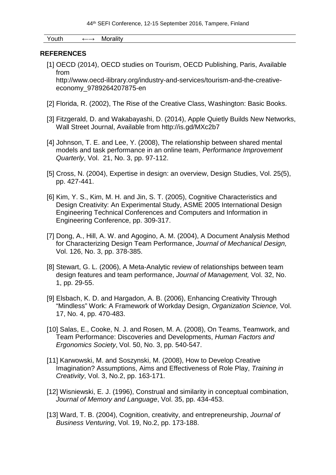Youth ←→ Morality

#### **REFERENCES**

[1] OECD (2014), OECD studies on Tourism, OECD Publishing, Paris, Available from

[http://www.oecd-ilibrary.org/industry-and-services/tourism-and-the-creative](http://www.oecd-ilibrary.org/industry-and-services/tourism-and-the-creative-economy_9789264207875-en)[economy\\_9789264207875-en](http://www.oecd-ilibrary.org/industry-and-services/tourism-and-the-creative-economy_9789264207875-en)

- [2] Florida, R. (2002). The Rise of the Creative Class, Washington: Basic Books.
- [3] Fitzgerald, D. and Wakabayashi, D. (2014), Apple Quietly Builds New Networks, Wall Street Journal, Available from<http://is.gd/MXc2b7>
- [4] Johnson, T. E. and Lee, Y. (2008), The relationship between shared mental models and task performance in an online team, *Performance Improvement Quarterly*, Vol. 21, No. 3, pp. 97-112.
- [5] Cross, N. (2004), Expertise in design: an overview, Design Studies, Vol. 25(5), pp. 427-441.
- [6] Kim, Y. S., Kim, M. H. and Jin, S. T. (2005), Cognitive Characteristics and Design Creativity: An Experimental Study, ASME 2005 International Design Engineering Technical Conferences and Computers and Information in Engineering Conference, pp. 309-317.
- [7] Dong, A., Hill, A. W. and Agogino, A. M. (2004), A Document Analysis Method for Characterizing Design Team Performance, *Journal of Mechanical Design,* Vol. 126, No. 3, pp. 378-385.
- [8] Stewart, G. L. (2006), A Meta-Analytic review of relationships between team design features and team performance, *Journal of Management,* Vol. 32, No. 1, pp. 29-55.
- [9] Elsbach, K. D. and Hargadon, A. B. (2006), Enhancing Creativity Through "Mindless" Work: A Framework of Workday Design, *Organization Science,* Vol. 17, No. 4, pp. 470-483.
- [10] Salas, E., Cooke, N. J. and Rosen, M. A. (2008), On Teams, Teamwork, and Team Performance: Discoveries and Developments, *Human Factors and Ergonomics Society*, Vol. 50, No. 3, pp. 540-547.
- [11] Karwowski, M. and Soszynski, M. (2008), How to Develop Creative Imagination? Assumptions, Aims and Effectiveness of Role Play, *Training in Creativity*, Vol. 3, No.2, pp. 163-171.
- [12] Wisniewski, E. J. (1996), Construal and similarity in conceptual combination, *Journal of Memory and Language*, Vol. 35, pp. 434-453.
- [13] Ward, T. B. (2004), Cognition, creativity, and entrepreneurship, *Journal of Business Venturing*, Vol. 19, No.2, pp. 173-188.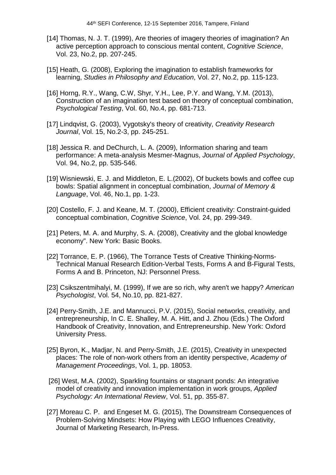- [14] Thomas, N. J. T. (1999), Are theories of imagery theories of imagination? An active perception approach to conscious mental content, *Cognitive Science*, Vol. 23, No.2, pp. 207-245.
- [15] Heath, G. (2008), Exploring the imagination to establish frameworks for learning, *Studies in Philosophy and Education*, Vol. 27, No.2, pp. 115-123.
- [16] Horng, R.Y., Wang, C.W, Shyr, Y.H., Lee, P.Y. and Wang, Y.M. (2013), Construction of an imagination test based on theory of conceptual combination, *Psychological Testing*, Vol. 60, No.4, pp. 681-713.
- [17] Lindqvist, G. (2003), Vygotsky's theory of creativity, *Creativity Research Journal*, Vol. 15, No.2-3, pp. 245-251.
- [18] Jessica R. and DeChurch, L. A. (2009), Information sharing and team performance: A meta-analysis Mesmer-Magnus, *Journal of Applied Psychology*, Vol. 94, No.2, pp. 535-546.
- [19] Wisniewski, E. J. and Middleton, E. L. (2002), Of buckets bowls and coffee cup bowls: Spatial alignment in conceptual combination, *Journal of Memory & Language*, Vol. 46, No.1, pp. 1-23.
- [20] Costello, F. J. and Keane, M. T. (2000), Efficient creativity: Constraint-guided conceptual combination, *Cognitive Science*, Vol. 24, pp. 299-349.
- [21] Peters, M. A. and Murphy, S. A. (2008), Creativity and the global knowledge economy". New York: Basic Books.
- [22] Torrance, E. P. (1966), The Torrance Tests of Creative Thinking-Norms-Technical Manual Research Edition-Verbal Tests, Forms A and B-Figural Tests, Forms A and B. Princeton, NJ: Personnel Press.
- [23] Csikszentmihalyi, M. (1999), If we are so rich, why aren't we happy? *American Psychologist*, Vol. 54, No.10, pp. 821-827.
- [24] Perry-Smith, J.E. and Mannucci, P.V. (2015), Social networks, creativity, and entrepreneurship, In C. E. Shalley, M. A. Hitt, and J. Zhou (Eds.) The Oxford Handbook of Creativity, Innovation, and Entrepreneurship. New York: Oxford University Press.
- [25] Byron, K., Madjar, N. and Perry-Smith, J.E. (2015), Creativity in unexpected places: The role of non-work others from an identity perspective, *Academy of Management Proceedings*, Vol. 1, pp. 18053.
- [26] West, M.A. (2002), Sparkling fountains or stagnant ponds: An integrative model of creativity and innovation implementation in work groups, *Applied Psychology: An International Review*, Vol. 51, pp. 355-87.
- [27] Moreau C. P. and Engeset M. G. (2015), The Downstream Consequences of Problem-Solving Mindsets: How Playing with LEGO Influences Creativity, Journal of Marketing Research, In-Press.